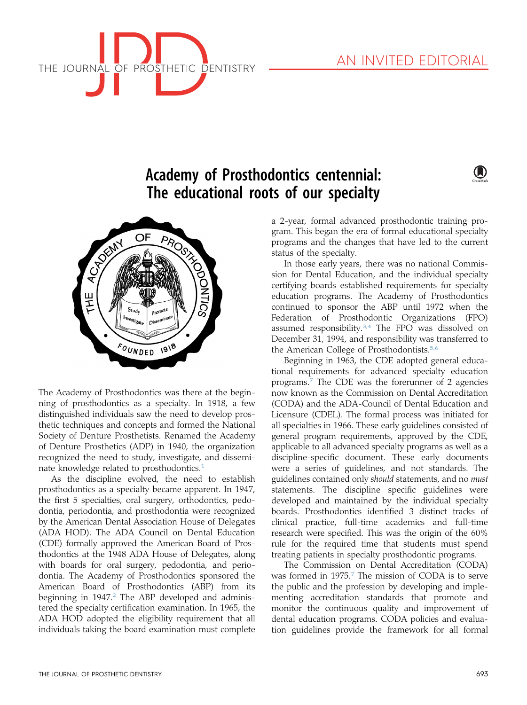

(A)



# Academy of Prosthodontics centennial: The educational roots of our specialty



The Academy of Prosthodontics was there at the beginning of prosthodontics as a specialty. In 1918, a few distinguished individuals saw the need to develop prosthetic techniques and concepts and formed the National Society of Denture Prosthetists. Renamed the Academy of Denture Prosthetics (ADP) in 1940, the organization recognized the need to study, investigate, and dissemi-nate knowledge related to prosthodontics.<sup>[1](#page-2-0)</sup>

As the discipline evolved, the need to establish prosthodontics as a specialty became apparent. In 1947, the first 5 specialties, oral surgery, orthodontics, pedodontia, periodontia, and prosthodontia were recognized by the American Dental Association House of Delegates (ADA HOD). The ADA Council on Dental Education (CDE) formally approved the American Board of Prosthodontics at the 1948 ADA House of Delegates, along with boards for oral surgery, pedodontia, and periodontia. The Academy of Prosthodontics sponsored the American Board of Prosthodontics (ABP) from its beginning in  $1947<sup>2</sup>$  $1947<sup>2</sup>$  $1947<sup>2</sup>$  The ABP developed and administered the specialty certification examination. In 1965, the ADA HOD adopted the eligibility requirement that all individuals taking the board examination must complete a 2-year, formal advanced prosthodontic training program. This began the era of formal educational specialty programs and the changes that have led to the current status of the specialty.

In those early years, there was no national Commission for Dental Education, and the individual specialty certifying boards established requirements for specialty education programs. The Academy of Prosthodontics continued to sponsor the ABP until 1972 when the Federation of Prosthodontic Organizations (FPO) assumed responsibility.<sup>[3,4](#page-2-0)</sup> The FPO was dissolved on December 31, 1994, and responsibility was transferred to the American College of Prosthodontists.<sup>[5,6](#page-2-0)</sup>

Beginning in 1963, the CDE adopted general educational requirements for advanced specialty education programs.[7](#page-2-0) The CDE was the forerunner of 2 agencies now known as the Commission on Dental Accreditation (CODA) and the ADA-Council of Dental Education and Licensure (CDEL). The formal process was initiated for all specialties in 1966. These early guidelines consisted of general program requirements, approved by the CDE, applicable to all advanced specialty programs as well as a discipline-specific document. These early documents were a series of guidelines, and not standards. The guidelines contained only should statements, and no must statements. The discipline specific guidelines were developed and maintained by the individual specialty boards. Prosthodontics identified 3 distinct tracks of clinical practice, full-time academics and full-time research were specified. This was the origin of the 60% rule for the required time that students must spend treating patients in specialty prosthodontic programs.

The Commission on Dental Accreditation (CODA) was formed in 19[7](#page-2-0)5.<sup>7</sup> The mission of CODA is to serve the public and the profession by developing and implementing accreditation standards that promote and monitor the continuous quality and improvement of dental education programs. CODA policies and evaluation guidelines provide the framework for all formal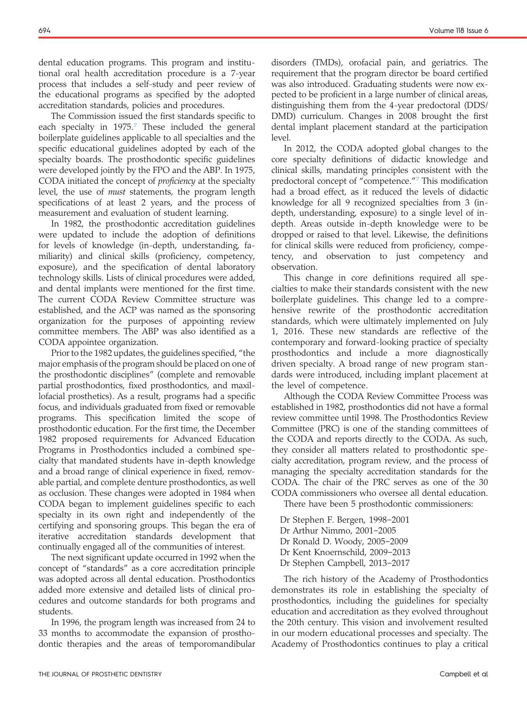dental education programs. This program and institutional oral health accreditation procedure is a 7-year process that includes a self-study and peer review of the educational programs as specified by the adopted accreditation standards, policies and procedures.

The Commission issued the first standards specific to each specialty in  $1975$  $1975$  $1975$ .<sup>7</sup> These included the general boilerplate guidelines applicable to all specialties and the specific educational guidelines adopted by each of the specialty boards. The prosthodontic specific guidelines were developed jointly by the FPO and the ABP. In 1975, CODA initiated the concept of proficiency at the specialty level, the use of *must* statements, the program length specifications of at least 2 years, and the process of measurement and evaluation of student learning.

In 1982, the prosthodontic accreditation guidelines were updated to include the adoption of definitions for levels of knowledge (in-depth, understanding, familiarity) and clinical skills (proficiency, competency, exposure), and the specification of dental laboratory technology skills. Lists of clinical procedures were added, and dental implants were mentioned for the first time. The current CODA Review Committee structure was established, and the ACP was named as the sponsoring organization for the purposes of appointing review committee members. The ABP was also identified as a CODA appointee organization.

Prior to the 1982 updates, the guidelines specified, "the major emphasis of the program should be placed on one of the prosthodontic disciplines" (complete and removable partial prosthodontics, fixed prosthodontics, and maxillofacial prosthetics). As a result, programs had a specific focus, and individuals graduated from fixed or removable programs. This specification limited the scope of prosthodontic education. For the first time, the December 1982 proposed requirements for Advanced Education Programs in Prosthodontics included a combined specialty that mandated students have in-depth knowledge and a broad range of clinical experience in fixed, removable partial, and complete denture prosthodontics, as well as occlusion. These changes were adopted in 1984 when CODA began to implement guidelines specific to each specialty in its own right and independently of the certifying and sponsoring groups. This began the era of iterative accreditation standards development that continually engaged all of the communities of interest.

The next significant update occurred in 1992 when the concept of "standards" as a core accreditation principle was adopted across all dental education. Prosthodontics added more extensive and detailed lists of clinical procedures and outcome standards for both programs and students.

In 1996, the program length was increased from 24 to 33 months to accommodate the expansion of prosthodontic therapies and the areas of temporomandibular disorders (TMDs), orofacial pain, and geriatrics. The requirement that the program director be board certified was also introduced. Graduating students were now expected to be proficient in a large number of clinical areas, distinguishing them from the 4-year predoctoral (DDS/ DMD) curriculum. Changes in 2008 brought the first dental implant placement standard at the participation level.

In 2012, the CODA adopted global changes to the core specialty definitions of didactic knowledge and clinical skills, mandating principles consistent with the predoctoral concept of "competence."[7](#page-2-0) This modification had a broad effect, as it reduced the levels of didactic knowledge for all 9 recognized specialties from 3 (indepth, understanding, exposure) to a single level of indepth. Areas outside in-depth knowledge were to be dropped or raised to that level. Likewise, the definitions for clinical skills were reduced from proficiency, competency, and observation to just competency and observation.

This change in core definitions required all specialties to make their standards consistent with the new boilerplate guidelines. This change led to a comprehensive rewrite of the prosthodontic accreditation standards, which were ultimately implemented on July 1, 2016. These new standards are reflective of the contemporary and forward-looking practice of specialty prosthodontics and include a more diagnostically driven specialty. A broad range of new program standards were introduced, including implant placement at the level of competence.

Although the CODA Review Committee Process was established in 1982, prosthodontics did not have a formal review committee until 1998. The Prosthodontics Review Committee (PRC) is one of the standing committees of the CODA and reports directly to the CODA. As such, they consider all matters related to prosthodontic specialty accreditation, program review, and the process of managing the specialty accreditation standards for the CODA. The chair of the PRC serves as one of the 30 CODA commissioners who oversee all dental education.

There have been 5 prosthodontic commissioners:

Dr Stephen F. Bergen, 1998-2001 Dr Arthur Nimmo, 2001-2005 Dr Ronald D. Woody, 2005-2009 Dr Kent Knoernschild, 2009-2013 Dr Stephen Campbell, 2013-2017

The rich history of the Academy of Prosthodontics demonstrates its role in establishing the specialty of prosthodontics, including the guidelines for specialty education and accreditation as they evolved throughout the 20th century. This vision and involvement resulted in our modern educational processes and specialty. The Academy of Prosthodontics continues to play a critical